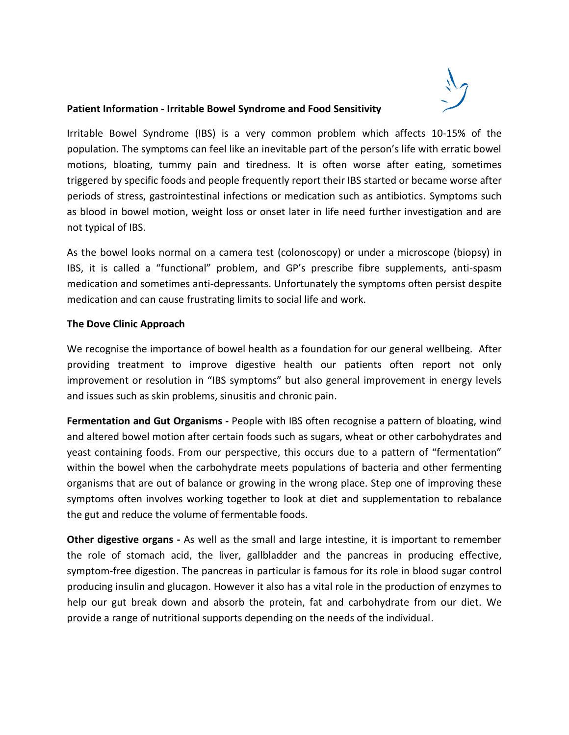## **Patient Information - Irritable Bowel Syndrome and Food Sensitivity**

Irritable Bowel Syndrome (IBS) is a very common problem which affects 10-15% of the population. The symptoms can feel like an inevitable part of the person's life with erratic bowel motions, bloating, tummy pain and tiredness. It is often worse after eating, sometimes triggered by specific foods and people frequently report their IBS started or became worse after periods of stress, gastrointestinal infections or medication such as antibiotics. Symptoms such as blood in bowel motion, weight loss or onset later in life need further investigation and are not typical of IBS.

As the bowel looks normal on a camera test (colonoscopy) or under a microscope (biopsy) in IBS, it is called a "functional" problem, and GP's prescribe fibre supplements, anti-spasm medication and sometimes anti-depressants. Unfortunately the symptoms often persist despite medication and can cause frustrating limits to social life and work.

## **The Dove Clinic Approach**

We recognise the importance of bowel health as a foundation for our general wellbeing. After providing treatment to improve digestive health our patients often report not only improvement or resolution in "IBS symptoms" but also general improvement in energy levels and issues such as skin problems, sinusitis and chronic pain.

**Fermentation and Gut Organisms -** People with IBS often recognise a pattern of bloating, wind and altered bowel motion after certain foods such as sugars, wheat or other carbohydrates and yeast containing foods. From our perspective, this occurs due to a pattern of "fermentation" within the bowel when the carbohydrate meets populations of bacteria and other fermenting organisms that are out of balance or growing in the wrong place. Step one of improving these symptoms often involves working together to look at diet and supplementation to rebalance the gut and reduce the volume of fermentable foods.

**Other digestive organs -** As well as the small and large intestine, it is important to remember the role of stomach acid, the liver, gallbladder and the pancreas in producing effective, symptom-free digestion. The pancreas in particular is famous for its role in blood sugar control producing insulin and glucagon. However it also has a vital role in the production of enzymes to help our gut break down and absorb the protein, fat and carbohydrate from our diet. We provide a range of nutritional supports depending on the needs of the individual.